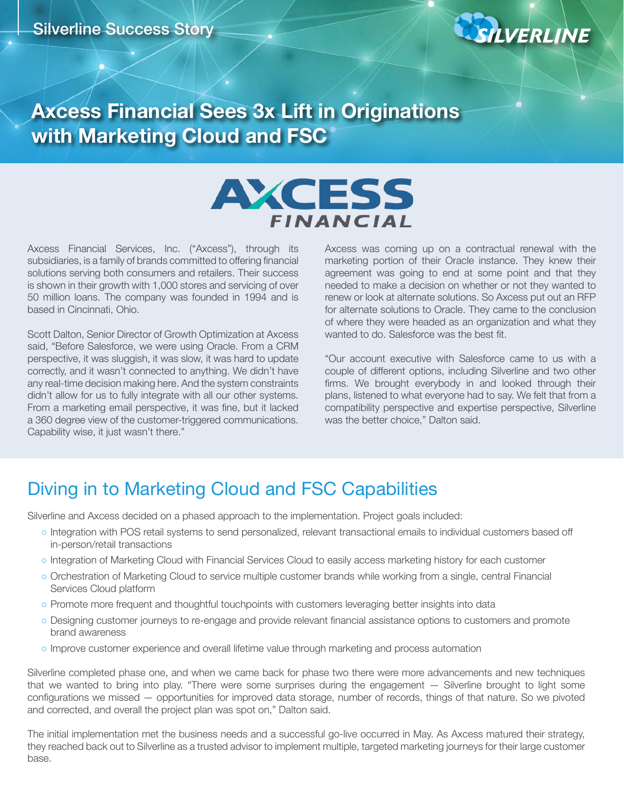

# **Axcess Financial Sees 3x Lift in Originations with Marketing Cloud and FSC**



Axcess Financial Services, Inc. ("Axcess"), through its subsidiaries, is a family of brands committed to offering financial solutions serving both consumers and retailers. Their success is shown in their growth with 1,000 stores and servicing of over 50 million loans. The company was founded in 1994 and is based in Cincinnati, Ohio.

Scott Dalton, Senior Director of Growth Optimization at Axcess said, "Before Salesforce, we were using Oracle. From a CRM perspective, it was sluggish, it was slow, it was hard to update correctly, and it wasn't connected to anything. We didn't have any real-time decision making here. And the system constraints didn't allow for us to fully integrate with all our other systems. From a marketing email perspective, it was fine, but it lacked a 360 degree view of the customer-triggered communications. Capability wise, it just wasn't there."

Axcess was coming up on a contractual renewal with the marketing portion of their Oracle instance. They knew their agreement was going to end at some point and that they needed to make a decision on whether or not they wanted to renew or look at alternate solutions. So Axcess put out an RFP for alternate solutions to Oracle. They came to the conclusion of where they were headed as an organization and what they wanted to do. Salesforce was the best fit.

"Our account executive with Salesforce came to us with a couple of different options, including Silverline and two other firms. We brought everybody in and looked through their plans, listened to what everyone had to say. We felt that from a compatibility perspective and expertise perspective, Silverline was the better choice," Dalton said.

# Diving in to Marketing Cloud and FSC Capabilities

Silverline and Axcess decided on a phased approach to the implementation. Project goals included:

- Integration with POS retail systems to send personalized, relevant transactional emails to individual customers based off in-person/retail transactions
- o Integration of Marketing Cloud with Financial Services Cloud to easily access marketing history for each customer
- Orchestration of Marketing Cloud to service multiple customer brands while working from a single, central Financial Services Cloud platform
- Promote more frequent and thoughtful touchpoints with customers leveraging better insights into data
- Designing customer journeys to re-engage and provide relevant financial assistance options to customers and promote brand awareness
- Improve customer experience and overall lifetime value through marketing and process automation

Silverline completed phase one, and when we came back for phase two there were more advancements and new techniques that we wanted to bring into play. "There were some surprises during the engagement — Silverline brought to light some configurations we missed — opportunities for improved data storage, number of records, things of that nature. So we pivoted and corrected, and overall the project plan was spot on," Dalton said.

The initial implementation met the business needs and a successful go-live occurred in May. As Axcess matured their strategy, they reached back out to Silverline as a trusted advisor to implement multiple, targeted marketing journeys for their large customer base.